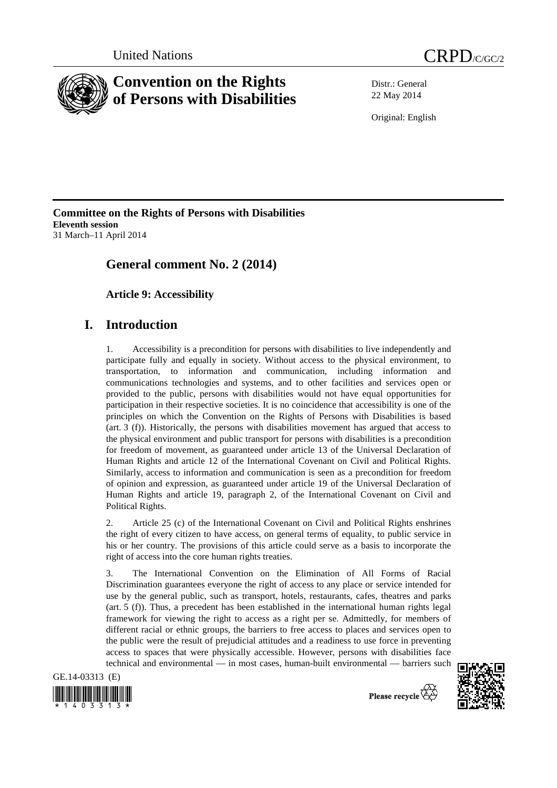



Distr.: General 22 May 2014

Original: English

**Committee on the Rights of Persons with Disabilities Eleventh session**  31 March–11 April 2014

# **General comment No. 2 (2014)**

 **Article 9: Accessibility**

# **I. Introduction**

1. Accessibility is a precondition for persons with disabilities to live independently and participate fully and equally in society. Without access to the physical environment, to transportation, to information and communication, including information and communications technologies and systems, and to other facilities and services open or provided to the public, persons with disabilities would not have equal opportunities for participation in their respective societies. It is no coincidence that accessibility is one of the principles on which the Convention on the Rights of Persons with Disabilities is based (art. 3 (f)). Historically, the persons with disabilities movement has argued that access to the physical environment and public transport for persons with disabilities is a precondition for freedom of movement, as guaranteed under article 13 of the Universal Declaration of Human Rights and article 12 of the International Covenant on Civil and Political Rights. Similarly, access to information and communication is seen as a precondition for freedom of opinion and expression, as guaranteed under article 19 of the Universal Declaration of Human Rights and article 19, paragraph 2, of the International Covenant on Civil and Political Rights.

2. Article 25 (c) of the International Covenant on Civil and Political Rights enshrines the right of every citizen to have access, on general terms of equality, to public service in his or her country. The provisions of this article could serve as a basis to incorporate the right of access into the core human rights treaties.

3. The International Convention on the Elimination of All Forms of Racial Discrimination guarantees everyone the right of access to any place or service intended for use by the general public, such as transport, hotels, restaurants, cafes, theatres and parks (art. 5 (f)). Thus, a precedent has been established in the international human rights legal framework for viewing the right to access as a right per se. Admittedly, for members of different racial or ethnic groups, the barriers to free access to places and services open to the public were the result of prejudicial attitudes and a readiness to use force in preventing access to spaces that were physically accessible. However, persons with disabilities face technical and environmental — in most cases, human-built environmental — barriers such

GE.14-03313 (E)





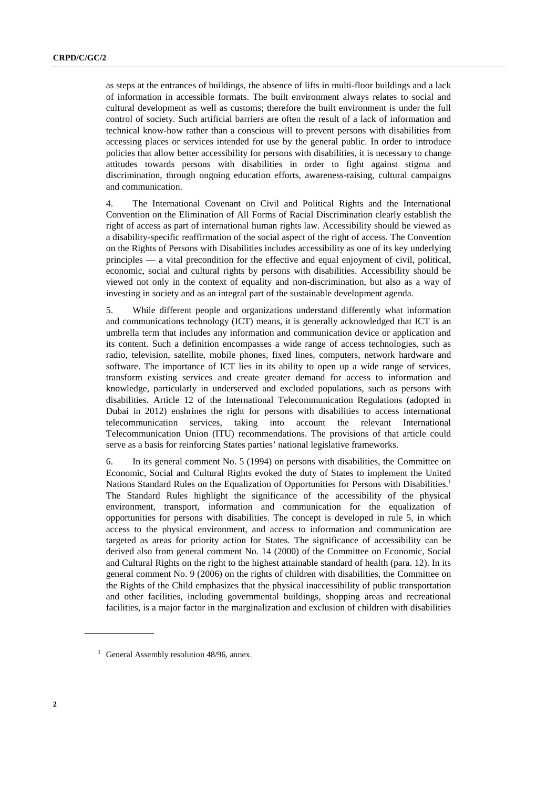as steps at the entrances of buildings, the absence of lifts in multi-floor buildings and a lack of information in accessible formats. The built environment always relates to social and cultural development as well as customs; therefore the built environment is under the full control of society. Such artificial barriers are often the result of a lack of information and technical know-how rather than a conscious will to prevent persons with disabilities from accessing places or services intended for use by the general public. In order to introduce policies that allow better accessibility for persons with disabilities, it is necessary to change attitudes towards persons with disabilities in order to fight against stigma and discrimination, through ongoing education efforts, awareness-raising, cultural campaigns and communication.

4. The International Covenant on Civil and Political Rights and the International Convention on the Elimination of All Forms of Racial Discrimination clearly establish the right of access as part of international human rights law. Accessibility should be viewed as a disability-specific reaffirmation of the social aspect of the right of access. The Convention on the Rights of Persons with Disabilities includes accessibility as one of its key underlying principles — a vital precondition for the effective and equal enjoyment of civil, political, economic, social and cultural rights by persons with disabilities. Accessibility should be viewed not only in the context of equality and non-discrimination, but also as a way of investing in society and as an integral part of the sustainable development agenda.

5. While different people and organizations understand differently what information and communications technology (ICT) means, it is generally acknowledged that ICT is an umbrella term that includes any information and communication device or application and its content. Such a definition encompasses a wide range of access technologies, such as radio, television, satellite, mobile phones, fixed lines, computers, network hardware and software. The importance of ICT lies in its ability to open up a wide range of services, transform existing services and create greater demand for access to information and knowledge, particularly in underserved and excluded populations, such as persons with disabilities. Article 12 of the International Telecommunication Regulations (adopted in Dubai in 2012) enshrines the right for persons with disabilities to access international telecommunication services, taking into account the relevant International Telecommunication Union (ITU) recommendations. The provisions of that article could serve as a basis for reinforcing States parties' national legislative frameworks.

6. In its general comment No. 5 (1994) on persons with disabilities, the Committee on Economic, Social and Cultural Rights evoked the duty of States to implement the United Nations Standard Rules on the Equalization of Opportunities for Persons with Disabilities.<sup>1</sup> The Standard Rules highlight the significance of the accessibility of the physical environment, transport, information and communication for the equalization of opportunities for persons with disabilities. The concept is developed in rule 5, in which access to the physical environment, and access to information and communication are targeted as areas for priority action for States. The significance of accessibility can be derived also from general comment No. 14 (2000) of the Committee on Economic, Social and Cultural Rights on the right to the highest attainable standard of health (para. 12). In its general comment No. 9 (2006) on the rights of children with disabilities, the Committee on the Rights of the Child emphasizes that the physical inaccessibility of public transportation and other facilities, including governmental buildings, shopping areas and recreational facilities, is a major factor in the marginalization and exclusion of children with disabilities

<sup>&</sup>lt;sup>1</sup> General Assembly resolution 48/96, annex.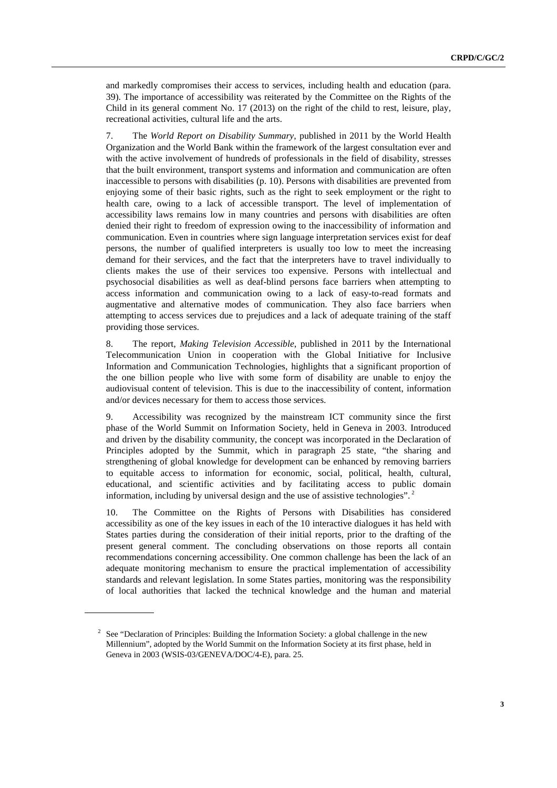and markedly compromises their access to services, including health and education (para. 39). The importance of accessibility was reiterated by the Committee on the Rights of the Child in its general comment No. 17 (2013) on the right of the child to rest, leisure, play, recreational activities, cultural life and the arts.

7. The *World Report on Disability Summary*, published in 2011 by the World Health Organization and the World Bank within the framework of the largest consultation ever and with the active involvement of hundreds of professionals in the field of disability, stresses that the built environment, transport systems and information and communication are often inaccessible to persons with disabilities (p. 10). Persons with disabilities are prevented from enjoying some of their basic rights, such as the right to seek employment or the right to health care, owing to a lack of accessible transport. The level of implementation of accessibility laws remains low in many countries and persons with disabilities are often denied their right to freedom of expression owing to the inaccessibility of information and communication. Even in countries where sign language interpretation services exist for deaf persons, the number of qualified interpreters is usually too low to meet the increasing demand for their services, and the fact that the interpreters have to travel individually to clients makes the use of their services too expensive. Persons with intellectual and psychosocial disabilities as well as deaf-blind persons face barriers when attempting to access information and communication owing to a lack of easy-to-read formats and augmentative and alternative modes of communication. They also face barriers when attempting to access services due to prejudices and a lack of adequate training of the staff providing those services.

8. The report, *Making Television Accessible*, published in 2011 by the International Telecommunication Union in cooperation with the Global Initiative for Inclusive Information and Communication Technologies, highlights that a significant proportion of the one billion people who live with some form of disability are unable to enjoy the audiovisual content of television. This is due to the inaccessibility of content, information and/or devices necessary for them to access those services.

9. Accessibility was recognized by the mainstream ICT community since the first phase of the World Summit on Information Society, held in Geneva in 2003. Introduced and driven by the disability community, the concept was incorporated in the Declaration of Principles adopted by the Summit, which in paragraph 25 state, "the sharing and strengthening of global knowledge for development can be enhanced by removing barriers to equitable access to information for economic, social, political, health, cultural, educational, and scientific activities and by facilitating access to public domain information, including by universal design and the use of assistive technologies". 2

10. The Committee on the Rights of Persons with Disabilities has considered accessibility as one of the key issues in each of the 10 interactive dialogues it has held with States parties during the consideration of their initial reports, prior to the drafting of the present general comment. The concluding observations on those reports all contain recommendations concerning accessibility. One common challenge has been the lack of an adequate monitoring mechanism to ensure the practical implementation of accessibility standards and relevant legislation. In some States parties, monitoring was the responsibility of local authorities that lacked the technical knowledge and the human and material

<sup>&</sup>lt;sup>2</sup> See "Declaration of Principles: Building the Information Society: a global challenge in the new Millennium", adopted by the World Summit on the Information Society at its first phase, held in Geneva in 2003 (WSIS-03/GENEVA/DOC/4-E), para. 25.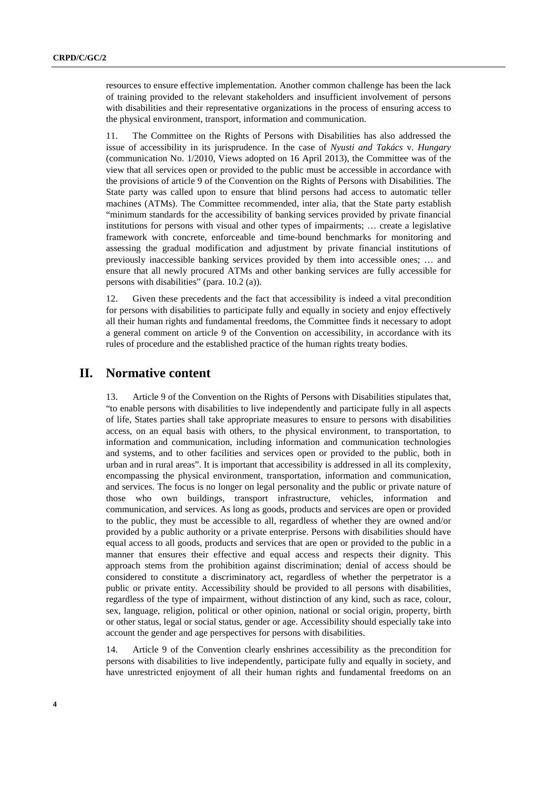resources to ensure effective implementation. Another common challenge has been the lack of training provided to the relevant stakeholders and insufficient involvement of persons with disabilities and their representative organizations in the process of ensuring access to the physical environment, transport, information and communication.

11. The Committee on the Rights of Persons with Disabilities has also addressed the issue of accessibility in its jurisprudence. In the case of *Nyusti and Takács* v. *Hungary* (communication No. 1/2010, Views adopted on 16 April 2013), the Committee was of the view that all services open or provided to the public must be accessible in accordance with the provisions of article 9 of the Convention on the Rights of Persons with Disabilities. The State party was called upon to ensure that blind persons had access to automatic teller machines (ATMs). The Committee recommended, inter alia, that the State party establish "minimum standards for the accessibility of banking services provided by private financial institutions for persons with visual and other types of impairments; … create a legislative framework with concrete, enforceable and time-bound benchmarks for monitoring and assessing the gradual modification and adjustment by private financial institutions of previously inaccessible banking services provided by them into accessible ones; … and ensure that all newly procured ATMs and other banking services are fully accessible for persons with disabilities" (para. 10.2 (a)).

12. Given these precedents and the fact that accessibility is indeed a vital precondition for persons with disabilities to participate fully and equally in society and enjoy effectively all their human rights and fundamental freedoms, the Committee finds it necessary to adopt a general comment on article 9 of the Convention on accessibility, in accordance with its rules of procedure and the established practice of the human rights treaty bodies.

#### **II. Normative content**

13. Article 9 of the Convention on the Rights of Persons with Disabilities stipulates that, "to enable persons with disabilities to live independently and participate fully in all aspects of life, States parties shall take appropriate measures to ensure to persons with disabilities access, on an equal basis with others, to the physical environment, to transportation, to information and communication, including information and communication technologies and systems, and to other facilities and services open or provided to the public, both in urban and in rural areas". It is important that accessibility is addressed in all its complexity, encompassing the physical environment, transportation, information and communication, and services. The focus is no longer on legal personality and the public or private nature of those who own buildings, transport infrastructure, vehicles, information and communication, and services. As long as goods, products and services are open or provided to the public, they must be accessible to all, regardless of whether they are owned and/or provided by a public authority or a private enterprise. Persons with disabilities should have equal access to all goods, products and services that are open or provided to the public in a manner that ensures their effective and equal access and respects their dignity. This approach stems from the prohibition against discrimination; denial of access should be considered to constitute a discriminatory act, regardless of whether the perpetrator is a public or private entity. Accessibility should be provided to all persons with disabilities, regardless of the type of impairment, without distinction of any kind, such as race, colour, sex, language, religion, political or other opinion, national or social origin, property, birth or other status, legal or social status, gender or age. Accessibility should especially take into account the gender and age perspectives for persons with disabilities.

14. Article 9 of the Convention clearly enshrines accessibility as the precondition for persons with disabilities to live independently, participate fully and equally in society, and have unrestricted enjoyment of all their human rights and fundamental freedoms on an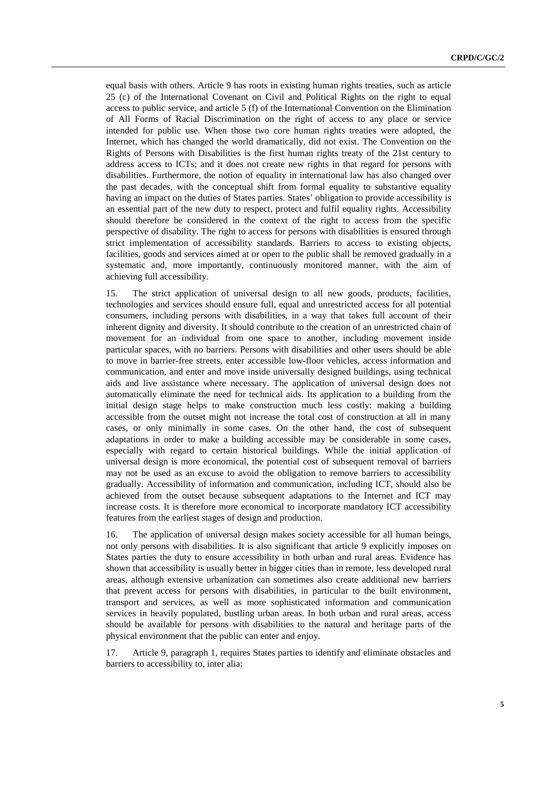equal basis with others. Article 9 has roots in existing human rights treaties, such as article 25 (c) of the International Covenant on Civil and Political Rights on the right to equal access to public service, and article 5 (f) of the International Convention on the Elimination of All Forms of Racial Discrimination on the right of access to any place or service intended for public use. When those two core human rights treaties were adopted, the Internet, which has changed the world dramatically, did not exist. The Convention on the Rights of Persons with Disabilities is the first human rights treaty of the 21st century to address access to ICTs; and it does not create new rights in that regard for persons with disabilities. Furthermore, the notion of equality in international law has also changed over the past decades, with the conceptual shift from formal equality to substantive equality having an impact on the duties of States parties. States' obligation to provide accessibility is an essential part of the new duty to respect, protect and fulfil equality rights. Accessibility should therefore be considered in the context of the right to access from the specific perspective of disability. The right to access for persons with disabilities is ensured through strict implementation of accessibility standards. Barriers to access to existing objects, facilities, goods and services aimed at or open to the public shall be removed gradually in a systematic and, more importantly, continuously monitored manner, with the aim of achieving full accessibility.

15. The strict application of universal design to all new goods, products, facilities, technologies and services should ensure full, equal and unrestricted access for all potential consumers, including persons with disabilities, in a way that takes full account of their inherent dignity and diversity. It should contribute to the creation of an unrestricted chain of movement for an individual from one space to another, including movement inside particular spaces, with no barriers. Persons with disabilities and other users should be able to move in barrier-free streets, enter accessible low-floor vehicles, access information and communication, and enter and move inside universally designed buildings, using technical aids and live assistance where necessary. The application of universal design does not automatically eliminate the need for technical aids. Its application to a building from the initial design stage helps to make construction much less costly: making a building accessible from the outset might not increase the total cost of construction at all in many cases, or only minimally in some cases. On the other hand, the cost of subsequent adaptations in order to make a building accessible may be considerable in some cases, especially with regard to certain historical buildings. While the initial application of universal design is more economical, the potential cost of subsequent removal of barriers may not be used as an excuse to avoid the obligation to remove barriers to accessibility gradually. Accessibility of information and communication, including ICT, should also be achieved from the outset because subsequent adaptations to the Internet and ICT may increase costs. It is therefore more economical to incorporate mandatory ICT accessibility features from the earliest stages of design and production.

16. The application of universal design makes society accessible for all human beings, not only persons with disabilities. It is also significant that article 9 explicitly imposes on States parties the duty to ensure accessibility in both urban and rural areas. Evidence has shown that accessibility is usually better in bigger cities than in remote, less developed rural areas, although extensive urbanization can sometimes also create additional new barriers that prevent access for persons with disabilities, in particular to the built environment, transport and services, as well as more sophisticated information and communication services in heavily populated, bustling urban areas. In both urban and rural areas, access should be available for persons with disabilities to the natural and heritage parts of the physical environment that the public can enter and enjoy.

17. Article 9, paragraph 1, requires States parties to identify and eliminate obstacles and barriers to accessibility to, inter alia: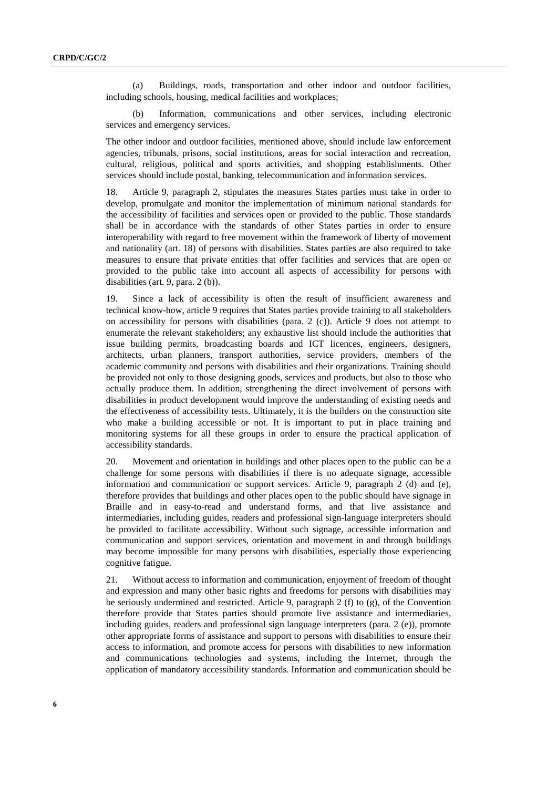(a) Buildings, roads, transportation and other indoor and outdoor facilities, including schools, housing, medical facilities and workplaces;

(b) Information, communications and other services, including electronic services and emergency services.

The other indoor and outdoor facilities, mentioned above, should include law enforcement agencies, tribunals, prisons, social institutions, areas for social interaction and recreation, cultural, religious, political and sports activities, and shopping establishments. Other services should include postal, banking, telecommunication and information services.

18. Article 9, paragraph 2, stipulates the measures States parties must take in order to develop, promulgate and monitor the implementation of minimum national standards for the accessibility of facilities and services open or provided to the public. Those standards shall be in accordance with the standards of other States parties in order to ensure interoperability with regard to free movement within the framework of liberty of movement and nationality (art. 18) of persons with disabilities. States parties are also required to take measures to ensure that private entities that offer facilities and services that are open or provided to the public take into account all aspects of accessibility for persons with disabilities (art. 9, para. 2 (b)).

19. Since a lack of accessibility is often the result of insufficient awareness and technical know-how, article 9 requires that States parties provide training to all stakeholders on accessibility for persons with disabilities (para. 2 (c)). Article 9 does not attempt to enumerate the relevant stakeholders; any exhaustive list should include the authorities that issue building permits, broadcasting boards and ICT licences, engineers, designers, architects, urban planners, transport authorities, service providers, members of the academic community and persons with disabilities and their organizations. Training should be provided not only to those designing goods, services and products, but also to those who actually produce them. In addition, strengthening the direct involvement of persons with disabilities in product development would improve the understanding of existing needs and the effectiveness of accessibility tests. Ultimately, it is the builders on the construction site who make a building accessible or not. It is important to put in place training and monitoring systems for all these groups in order to ensure the practical application of accessibility standards.

20. Movement and orientation in buildings and other places open to the public can be a challenge for some persons with disabilities if there is no adequate signage, accessible information and communication or support services. Article 9, paragraph 2 (d) and (e), therefore provides that buildings and other places open to the public should have signage in Braille and in easy-to-read and understand forms, and that live assistance and intermediaries, including guides, readers and professional sign-language interpreters should be provided to facilitate accessibility. Without such signage, accessible information and communication and support services, orientation and movement in and through buildings may become impossible for many persons with disabilities, especially those experiencing cognitive fatigue.

21. Without access to information and communication, enjoyment of freedom of thought and expression and many other basic rights and freedoms for persons with disabilities may be seriously undermined and restricted. Article 9, paragraph 2 (f) to  $(g)$ , of the Convention therefore provide that States parties should promote live assistance and intermediaries, including guides, readers and professional sign language interpreters (para. 2 (e)), promote other appropriate forms of assistance and support to persons with disabilities to ensure their access to information, and promote access for persons with disabilities to new information and communications technologies and systems, including the Internet, through the application of mandatory accessibility standards. Information and communication should be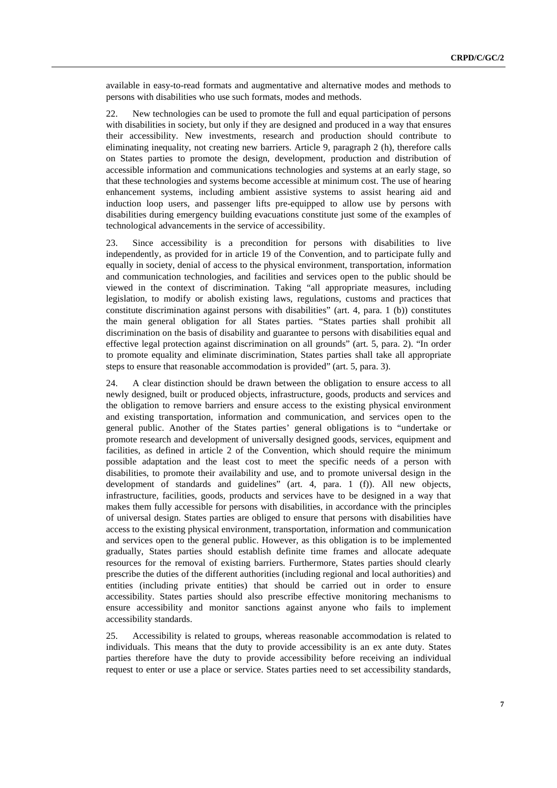available in easy-to-read formats and augmentative and alternative modes and methods to persons with disabilities who use such formats, modes and methods.

22. New technologies can be used to promote the full and equal participation of persons with disabilities in society, but only if they are designed and produced in a way that ensures their accessibility. New investments, research and production should contribute to eliminating inequality, not creating new barriers. Article 9, paragraph 2 (h), therefore calls on States parties to promote the design, development, production and distribution of accessible information and communications technologies and systems at an early stage, so that these technologies and systems become accessible at minimum cost. The use of hearing enhancement systems, including ambient assistive systems to assist hearing aid and induction loop users, and passenger lifts pre-equipped to allow use by persons with disabilities during emergency building evacuations constitute just some of the examples of technological advancements in the service of accessibility.

23. Since accessibility is a precondition for persons with disabilities to live independently, as provided for in article 19 of the Convention, and to participate fully and equally in society, denial of access to the physical environment, transportation, information and communication technologies, and facilities and services open to the public should be viewed in the context of discrimination. Taking "all appropriate measures, including legislation, to modify or abolish existing laws, regulations, customs and practices that constitute discrimination against persons with disabilities" (art. 4, para. 1 (b)) constitutes the main general obligation for all States parties. "States parties shall prohibit all discrimination on the basis of disability and guarantee to persons with disabilities equal and effective legal protection against discrimination on all grounds" (art. 5, para. 2). "In order to promote equality and eliminate discrimination, States parties shall take all appropriate steps to ensure that reasonable accommodation is provided" (art. 5, para. 3).

24. A clear distinction should be drawn between the obligation to ensure access to all newly designed, built or produced objects, infrastructure, goods, products and services and the obligation to remove barriers and ensure access to the existing physical environment and existing transportation, information and communication, and services open to the general public. Another of the States parties' general obligations is to "undertake or promote research and development of universally designed goods, services, equipment and facilities, as defined in article 2 of the Convention, which should require the minimum possible adaptation and the least cost to meet the specific needs of a person with disabilities, to promote their availability and use, and to promote universal design in the development of standards and guidelines" (art. 4, para. 1 (f)). All new objects, infrastructure, facilities, goods, products and services have to be designed in a way that makes them fully accessible for persons with disabilities, in accordance with the principles of universal design. States parties are obliged to ensure that persons with disabilities have access to the existing physical environment, transportation, information and communication and services open to the general public. However, as this obligation is to be implemented gradually, States parties should establish definite time frames and allocate adequate resources for the removal of existing barriers. Furthermore, States parties should clearly prescribe the duties of the different authorities (including regional and local authorities) and entities (including private entities) that should be carried out in order to ensure accessibility. States parties should also prescribe effective monitoring mechanisms to ensure accessibility and monitor sanctions against anyone who fails to implement accessibility standards.

25. Accessibility is related to groups, whereas reasonable accommodation is related to individuals. This means that the duty to provide accessibility is an ex ante duty. States parties therefore have the duty to provide accessibility before receiving an individual request to enter or use a place or service. States parties need to set accessibility standards,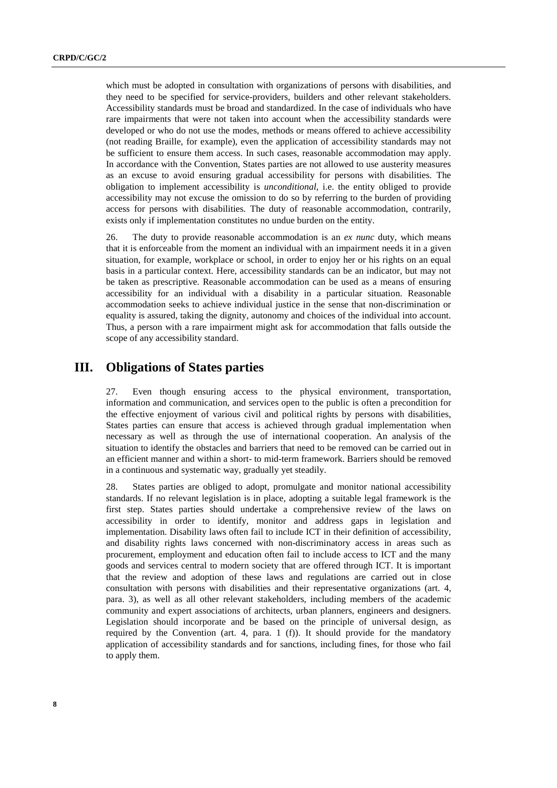which must be adopted in consultation with organizations of persons with disabilities, and they need to be specified for service-providers, builders and other relevant stakeholders. Accessibility standards must be broad and standardized. In the case of individuals who have rare impairments that were not taken into account when the accessibility standards were developed or who do not use the modes, methods or means offered to achieve accessibility (not reading Braille, for example), even the application of accessibility standards may not be sufficient to ensure them access. In such cases, reasonable accommodation may apply. In accordance with the Convention, States parties are not allowed to use austerity measures as an excuse to avoid ensuring gradual accessibility for persons with disabilities. The obligation to implement accessibility is *unconditional*, i.e. the entity obliged to provide accessibility may not excuse the omission to do so by referring to the burden of providing access for persons with disabilities. The duty of reasonable accommodation, contrarily, exists only if implementation constitutes no undue burden on the entity.

26. The duty to provide reasonable accommodation is an *ex nunc* duty, which means that it is enforceable from the moment an individual with an impairment needs it in a given situation, for example, workplace or school, in order to enjoy her or his rights on an equal basis in a particular context. Here, accessibility standards can be an indicator, but may not be taken as prescriptive. Reasonable accommodation can be used as a means of ensuring accessibility for an individual with a disability in a particular situation. Reasonable accommodation seeks to achieve individual justice in the sense that non-discrimination or equality is assured, taking the dignity, autonomy and choices of the individual into account. Thus, a person with a rare impairment might ask for accommodation that falls outside the scope of any accessibility standard.

### **III. Obligations of States parties**

27. Even though ensuring access to the physical environment, transportation, information and communication, and services open to the public is often a precondition for the effective enjoyment of various civil and political rights by persons with disabilities, States parties can ensure that access is achieved through gradual implementation when necessary as well as through the use of international cooperation. An analysis of the situation to identify the obstacles and barriers that need to be removed can be carried out in an efficient manner and within a short- to mid-term framework. Barriers should be removed in a continuous and systematic way, gradually yet steadily.

28. States parties are obliged to adopt, promulgate and monitor national accessibility standards. If no relevant legislation is in place, adopting a suitable legal framework is the first step. States parties should undertake a comprehensive review of the laws on accessibility in order to identify, monitor and address gaps in legislation and implementation. Disability laws often fail to include ICT in their definition of accessibility, and disability rights laws concerned with non-discriminatory access in areas such as procurement, employment and education often fail to include access to ICT and the many goods and services central to modern society that are offered through ICT. It is important that the review and adoption of these laws and regulations are carried out in close consultation with persons with disabilities and their representative organizations (art. 4, para. 3), as well as all other relevant stakeholders, including members of the academic community and expert associations of architects, urban planners, engineers and designers. Legislation should incorporate and be based on the principle of universal design, as required by the Convention (art. 4, para. 1 (f)). It should provide for the mandatory application of accessibility standards and for sanctions, including fines, for those who fail to apply them.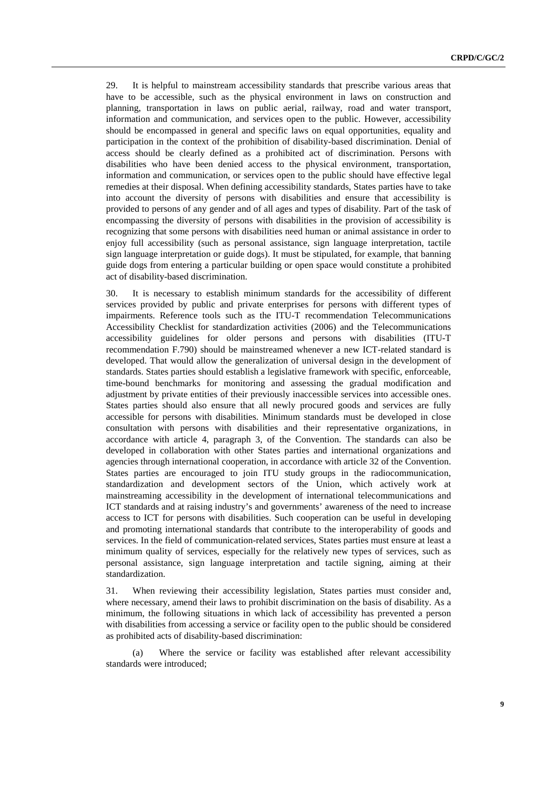29. It is helpful to mainstream accessibility standards that prescribe various areas that have to be accessible, such as the physical environment in laws on construction and planning, transportation in laws on public aerial, railway, road and water transport, information and communication, and services open to the public. However, accessibility should be encompassed in general and specific laws on equal opportunities, equality and participation in the context of the prohibition of disability-based discrimination. Denial of access should be clearly defined as a prohibited act of discrimination. Persons with disabilities who have been denied access to the physical environment, transportation, information and communication, or services open to the public should have effective legal remedies at their disposal. When defining accessibility standards, States parties have to take into account the diversity of persons with disabilities and ensure that accessibility is provided to persons of any gender and of all ages and types of disability. Part of the task of encompassing the diversity of persons with disabilities in the provision of accessibility is recognizing that some persons with disabilities need human or animal assistance in order to enjoy full accessibility (such as personal assistance, sign language interpretation, tactile sign language interpretation or guide dogs). It must be stipulated, for example, that banning guide dogs from entering a particular building or open space would constitute a prohibited act of disability-based discrimination.

30. It is necessary to establish minimum standards for the accessibility of different services provided by public and private enterprises for persons with different types of impairments. Reference tools such as the ITU-T recommendation Telecommunications Accessibility Checklist for standardization activities (2006) and the Telecommunications accessibility guidelines for older persons and persons with disabilities (ITU-T recommendation F.790) should be mainstreamed whenever a new ICT-related standard is developed. That would allow the generalization of universal design in the development of standards. States parties should establish a legislative framework with specific, enforceable, time-bound benchmarks for monitoring and assessing the gradual modification and adjustment by private entities of their previously inaccessible services into accessible ones. States parties should also ensure that all newly procured goods and services are fully accessible for persons with disabilities. Minimum standards must be developed in close consultation with persons with disabilities and their representative organizations, in accordance with article 4, paragraph 3, of the Convention. The standards can also be developed in collaboration with other States parties and international organizations and agencies through international cooperation, in accordance with article 32 of the Convention. States parties are encouraged to join ITU study groups in the radiocommunication, standardization and development sectors of the Union, which actively work at mainstreaming accessibility in the development of international telecommunications and ICT standards and at raising industry's and governments' awareness of the need to increase access to ICT for persons with disabilities. Such cooperation can be useful in developing and promoting international standards that contribute to the interoperability of goods and services. In the field of communication-related services, States parties must ensure at least a minimum quality of services, especially for the relatively new types of services, such as personal assistance, sign language interpretation and tactile signing, aiming at their standardization.

31. When reviewing their accessibility legislation, States parties must consider and, where necessary, amend their laws to prohibit discrimination on the basis of disability. As a minimum, the following situations in which lack of accessibility has prevented a person with disabilities from accessing a service or facility open to the public should be considered as prohibited acts of disability-based discrimination:

(a) Where the service or facility was established after relevant accessibility standards were introduced;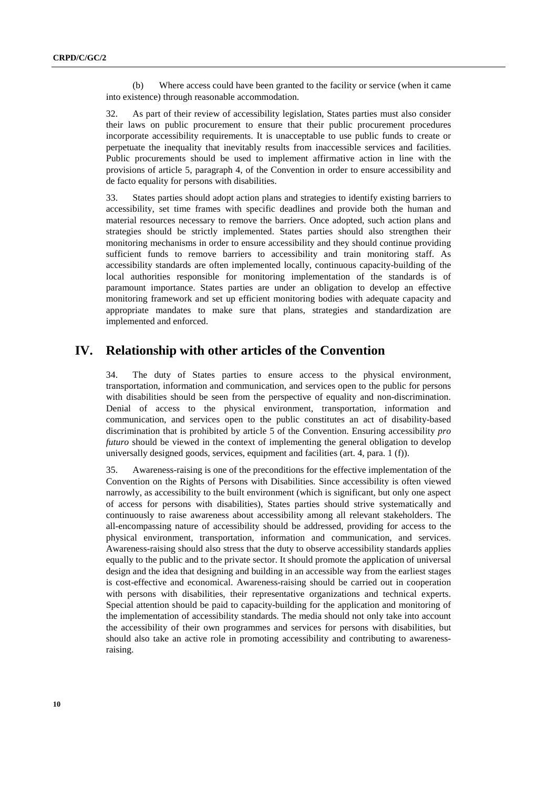(b) Where access could have been granted to the facility or service (when it came into existence) through reasonable accommodation.

32. As part of their review of accessibility legislation, States parties must also consider their laws on public procurement to ensure that their public procurement procedures incorporate accessibility requirements. It is unacceptable to use public funds to create or perpetuate the inequality that inevitably results from inaccessible services and facilities. Public procurements should be used to implement affirmative action in line with the provisions of article 5, paragraph 4, of the Convention in order to ensure accessibility and de facto equality for persons with disabilities.

33. States parties should adopt action plans and strategies to identify existing barriers to accessibility, set time frames with specific deadlines and provide both the human and material resources necessary to remove the barriers. Once adopted, such action plans and strategies should be strictly implemented. States parties should also strengthen their monitoring mechanisms in order to ensure accessibility and they should continue providing sufficient funds to remove barriers to accessibility and train monitoring staff. As accessibility standards are often implemented locally, continuous capacity-building of the local authorities responsible for monitoring implementation of the standards is of paramount importance. States parties are under an obligation to develop an effective monitoring framework and set up efficient monitoring bodies with adequate capacity and appropriate mandates to make sure that plans, strategies and standardization are implemented and enforced.

### **IV. Relationship with other articles of the Convention**

34. The duty of States parties to ensure access to the physical environment, transportation, information and communication, and services open to the public for persons with disabilities should be seen from the perspective of equality and non-discrimination. Denial of access to the physical environment, transportation, information and communication, and services open to the public constitutes an act of disability-based discrimination that is prohibited by article 5 of the Convention. Ensuring accessibility *pro futuro* should be viewed in the context of implementing the general obligation to develop universally designed goods, services, equipment and facilities (art. 4, para. 1 (f)).

35. Awareness-raising is one of the preconditions for the effective implementation of the Convention on the Rights of Persons with Disabilities. Since accessibility is often viewed narrowly, as accessibility to the built environment (which is significant, but only one aspect of access for persons with disabilities), States parties should strive systematically and continuously to raise awareness about accessibility among all relevant stakeholders. The all-encompassing nature of accessibility should be addressed, providing for access to the physical environment, transportation, information and communication, and services. Awareness-raising should also stress that the duty to observe accessibility standards applies equally to the public and to the private sector. It should promote the application of universal design and the idea that designing and building in an accessible way from the earliest stages is cost-effective and economical. Awareness-raising should be carried out in cooperation with persons with disabilities, their representative organizations and technical experts. Special attention should be paid to capacity-building for the application and monitoring of the implementation of accessibility standards. The media should not only take into account the accessibility of their own programmes and services for persons with disabilities, but should also take an active role in promoting accessibility and contributing to awarenessraising.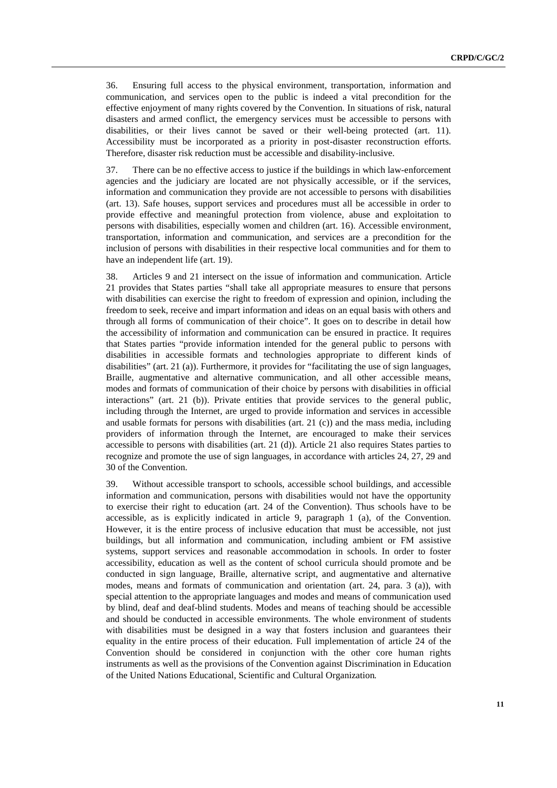36. Ensuring full access to the physical environment, transportation, information and communication, and services open to the public is indeed a vital precondition for the effective enjoyment of many rights covered by the Convention. In situations of risk, natural disasters and armed conflict, the emergency services must be accessible to persons with disabilities, or their lives cannot be saved or their well-being protected (art. 11). Accessibility must be incorporated as a priority in post-disaster reconstruction efforts. Therefore, disaster risk reduction must be accessible and disability-inclusive.

37. There can be no effective access to justice if the buildings in which law-enforcement agencies and the judiciary are located are not physically accessible, or if the services, information and communication they provide are not accessible to persons with disabilities (art. 13). Safe houses, support services and procedures must all be accessible in order to provide effective and meaningful protection from violence, abuse and exploitation to persons with disabilities, especially women and children (art. 16). Accessible environment, transportation, information and communication, and services are a precondition for the inclusion of persons with disabilities in their respective local communities and for them to have an independent life (art. 19).

38. Articles 9 and 21 intersect on the issue of information and communication. Article 21 provides that States parties "shall take all appropriate measures to ensure that persons with disabilities can exercise the right to freedom of expression and opinion, including the freedom to seek, receive and impart information and ideas on an equal basis with others and through all forms of communication of their choice". It goes on to describe in detail how the accessibility of information and communication can be ensured in practice. It requires that States parties "provide information intended for the general public to persons with disabilities in accessible formats and technologies appropriate to different kinds of disabilities" (art. 21 (a)). Furthermore, it provides for "facilitating the use of sign languages, Braille, augmentative and alternative communication, and all other accessible means, modes and formats of communication of their choice by persons with disabilities in official interactions" (art. 21 (b)). Private entities that provide services to the general public, including through the Internet, are urged to provide information and services in accessible and usable formats for persons with disabilities (art. 21 (c)) and the mass media, including providers of information through the Internet, are encouraged to make their services accessible to persons with disabilities (art. 21 (d)). Article 21 also requires States parties to recognize and promote the use of sign languages, in accordance with articles 24, 27, 29 and 30 of the Convention.

39. Without accessible transport to schools, accessible school buildings, and accessible information and communication, persons with disabilities would not have the opportunity to exercise their right to education (art. 24 of the Convention). Thus schools have to be accessible, as is explicitly indicated in article 9, paragraph 1 (a), of the Convention. However, it is the entire process of inclusive education that must be accessible, not just buildings, but all information and communication, including ambient or FM assistive systems, support services and reasonable accommodation in schools. In order to foster accessibility, education as well as the content of school curricula should promote and be conducted in sign language, Braille, alternative script, and augmentative and alternative modes, means and formats of communication and orientation (art. 24, para. 3 (a)), with special attention to the appropriate languages and modes and means of communication used by blind, deaf and deaf-blind students. Modes and means of teaching should be accessible and should be conducted in accessible environments. The whole environment of students with disabilities must be designed in a way that fosters inclusion and guarantees their equality in the entire process of their education. Full implementation of article 24 of the Convention should be considered in conjunction with the other core human rights instruments as well as the provisions of the Convention against Discrimination in Education of the United Nations Educational, Scientific and Cultural Organization*.*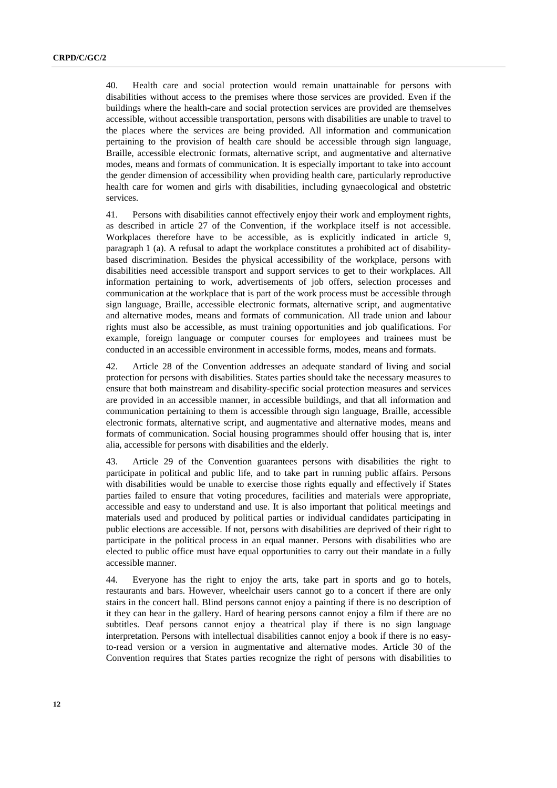40. Health care and social protection would remain unattainable for persons with disabilities without access to the premises where those services are provided. Even if the buildings where the health-care and social protection services are provided are themselves accessible, without accessible transportation, persons with disabilities are unable to travel to the places where the services are being provided. All information and communication pertaining to the provision of health care should be accessible through sign language, Braille, accessible electronic formats, alternative script, and augmentative and alternative modes, means and formats of communication. It is especially important to take into account the gender dimension of accessibility when providing health care, particularly reproductive health care for women and girls with disabilities, including gynaecological and obstetric services.

41. Persons with disabilities cannot effectively enjoy their work and employment rights, as described in article 27 of the Convention, if the workplace itself is not accessible. Workplaces therefore have to be accessible, as is explicitly indicated in article 9, paragraph 1 (a). A refusal to adapt the workplace constitutes a prohibited act of disabilitybased discrimination. Besides the physical accessibility of the workplace, persons with disabilities need accessible transport and support services to get to their workplaces. All information pertaining to work, advertisements of job offers, selection processes and communication at the workplace that is part of the work process must be accessible through sign language, Braille, accessible electronic formats, alternative script, and augmentative and alternative modes, means and formats of communication. All trade union and labour rights must also be accessible, as must training opportunities and job qualifications. For example, foreign language or computer courses for employees and trainees must be conducted in an accessible environment in accessible forms, modes, means and formats.

42. Article 28 of the Convention addresses an adequate standard of living and social protection for persons with disabilities. States parties should take the necessary measures to ensure that both mainstream and disability-specific social protection measures and services are provided in an accessible manner, in accessible buildings, and that all information and communication pertaining to them is accessible through sign language, Braille, accessible electronic formats, alternative script, and augmentative and alternative modes, means and formats of communication. Social housing programmes should offer housing that is, inter alia, accessible for persons with disabilities and the elderly.

43. Article 29 of the Convention guarantees persons with disabilities the right to participate in political and public life, and to take part in running public affairs. Persons with disabilities would be unable to exercise those rights equally and effectively if States parties failed to ensure that voting procedures, facilities and materials were appropriate, accessible and easy to understand and use. It is also important that political meetings and materials used and produced by political parties or individual candidates participating in public elections are accessible. If not, persons with disabilities are deprived of their right to participate in the political process in an equal manner. Persons with disabilities who are elected to public office must have equal opportunities to carry out their mandate in a fully accessible manner.

44. Everyone has the right to enjoy the arts, take part in sports and go to hotels, restaurants and bars. However, wheelchair users cannot go to a concert if there are only stairs in the concert hall. Blind persons cannot enjoy a painting if there is no description of it they can hear in the gallery. Hard of hearing persons cannot enjoy a film if there are no subtitles. Deaf persons cannot enjoy a theatrical play if there is no sign language interpretation. Persons with intellectual disabilities cannot enjoy a book if there is no easyto-read version or a version in augmentative and alternative modes. Article 30 of the Convention requires that States parties recognize the right of persons with disabilities to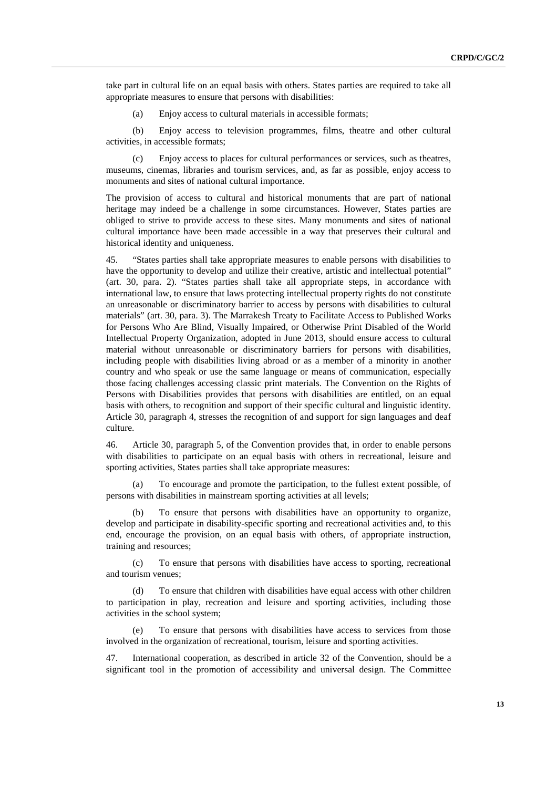take part in cultural life on an equal basis with others. States parties are required to take all appropriate measures to ensure that persons with disabilities:

(a) Enjoy access to cultural materials in accessible formats;

(b) Enjoy access to television programmes, films, theatre and other cultural activities, in accessible formats;

(c) Enjoy access to places for cultural performances or services, such as theatres, museums, cinemas, libraries and tourism services, and, as far as possible, enjoy access to monuments and sites of national cultural importance.

The provision of access to cultural and historical monuments that are part of national heritage may indeed be a challenge in some circumstances. However, States parties are obliged to strive to provide access to these sites. Many monuments and sites of national cultural importance have been made accessible in a way that preserves their cultural and historical identity and uniqueness.

45. "States parties shall take appropriate measures to enable persons with disabilities to have the opportunity to develop and utilize their creative, artistic and intellectual potential" (art. 30, para. 2). "States parties shall take all appropriate steps, in accordance with international law, to ensure that laws protecting intellectual property rights do not constitute an unreasonable or discriminatory barrier to access by persons with disabilities to cultural materials" (art. 30, para. 3). The Marrakesh Treaty to Facilitate Access to Published Works for Persons Who Are Blind, Visually Impaired, or Otherwise Print Disabled of the World Intellectual Property Organization, adopted in June 2013, should ensure access to cultural material without unreasonable or discriminatory barriers for persons with disabilities, including people with disabilities living abroad or as a member of a minority in another country and who speak or use the same language or means of communication, especially those facing challenges accessing classic print materials. The Convention on the Rights of Persons with Disabilities provides that persons with disabilities are entitled, on an equal basis with others, to recognition and support of their specific cultural and linguistic identity. Article 30, paragraph 4, stresses the recognition of and support for sign languages and deaf culture.

46. Article 30, paragraph 5, of the Convention provides that, in order to enable persons with disabilities to participate on an equal basis with others in recreational, leisure and sporting activities, States parties shall take appropriate measures:

(a) To encourage and promote the participation, to the fullest extent possible, of persons with disabilities in mainstream sporting activities at all levels;

(b) To ensure that persons with disabilities have an opportunity to organize, develop and participate in disability-specific sporting and recreational activities and, to this end, encourage the provision, on an equal basis with others, of appropriate instruction, training and resources;

(c) To ensure that persons with disabilities have access to sporting, recreational and tourism venues;

(d) To ensure that children with disabilities have equal access with other children to participation in play, recreation and leisure and sporting activities, including those activities in the school system;

(e) To ensure that persons with disabilities have access to services from those involved in the organization of recreational, tourism, leisure and sporting activities.

47. International cooperation, as described in article 32 of the Convention, should be a significant tool in the promotion of accessibility and universal design. The Committee